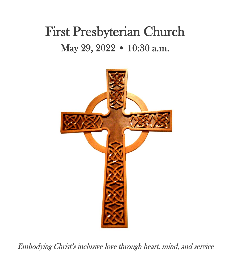# First Presbyterian Church May 29, 2022 • 10:30 a.m.



Embodying Christ's inclusive love through heart, mind, and service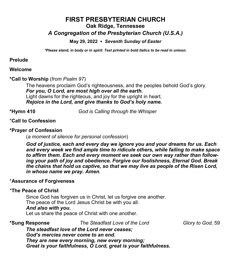## **FIRST PRESBYTERIAN CHURCH Oak Ridge, Tennessee**

### *A Congregation of the Presbyterian Church (U.S.A.)*

#### **May 29, 2022** *Seventh Sunday of Easter*

*\*Please stand, in body or in spirit. Text printed in bold italics to be read in unison.*

#### **Prelude**

#### **Welcome**

#### **\*Call to Worship** (*from Psalm 97*)

The heavens proclaim God's righteousness, and the peoples behold God's glory. *For you, O Lord, are most high over all the earth.* Light dawns for the righteous, and joy for the upright in heart. *Rejoice in the Lord, and give thanks to God's holy name.*

**\*Hymn 410** *God is Calling through the Whisper*

#### \***Call to Confession**

#### **\*Prayer of Confession**

(*a moment of silence for personal confession*)

*God of justice, each and every day we ignore you and your dreams for us. Each and every week we find ample time to ridicule others, while failing to make space to affirm them. Each and every moment we seek our own way rather than following your path of joy and obedience. Forgive our foolishness, Eternal God. Break the chains that hold us captive, so that we may live as people of the Risen Lord, in whose name we pray. Amen.* 

#### \***Assurance of Forgiveness**

#### \***The Peace of Christ**

Since God has forgiven us in Christ, let us forgive one another. The peace of the Lord Jesus Christ be with you all.

#### *And also with you***.**

Let us share the peace of Christ with one another.

**\*Sung Response** *The Steadfast Love of the Lord Glory to God,* 59

*The steadfast love of the Lord never ceases; God's mercies never come to an end. They are new every morning, new every morning; Great is your faithfulness, O Lord, great is your faithfulness.*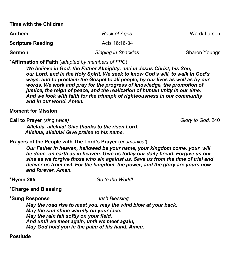**Time with the Children**

| <b>Anthem</b><br><b>Scripture Reading</b> | Rock of Ages<br>Acts 16:16-34 | Ward/Larson |
|-------------------------------------------|-------------------------------|-------------|
|                                           |                               |             |

**\*Affirmation of Faith** (*adapted by members of FPC*)

*We believe in God, the Father Almighty, and in Jesus Christ, his Son, our Lord, and in the Holy Spirit. We seek to know God's will, to walk in God's ways, and to proclaim the Gospel to all people, by our lives as well as by our words. We work and pray for the progress of knowledge, the promotion of justice, the reign of peace, and the realization of human unity in our time. And we look with faith for the triumph of righteousness in our community and in our world. Amen.*

**Moment for Mission**

**Call to Prayer** *(sing twice)* Glory to God, 240

 *Alleluia, alleluia! Give thanks to the risen Lord. Alleluia, alleluia! Give praise to his name.*

**Prayers of the People with The Lord's Prayer** (*ecumenical*)

*Our Father in heaven, hallowed be your name, your kingdom come, your will be done, on earth as in heaven. Give us today our daily bread. Forgive us our sins as we forgive those who sin against us. Save us from the time of trial and deliver us from evil. For the kingdom, the power, and the glory are yours now and forever. Amen.*

**\*Hymn 295** *Go to the World!*

#### **\*Charge and Blessing**

#### **\*Sung Response** *Irish Blessing*

*May the road rise to meet you, may the wind blow at your back, May the sun shine warmly on your face. May the rain fall softly on your field, And until we meet again, until we meet again, May God hold you in the palm of his hand. Amen.*

**Postlude**